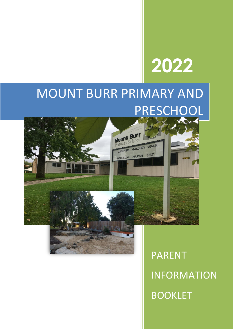# **2022**

## MOUNT BURR PRIMARY AND PRESCHOOL



PARENT INFORMATION BOOKLET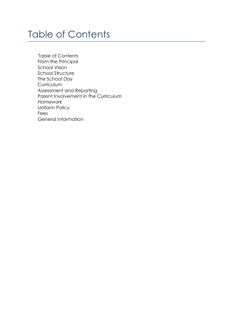### Table of Contents

 Table of Contents From the Principal School Vision School Structure The School Day **Curriculum**  Assessment and Reporting Parent Involvement in the Curriculum Homework Uniform Policy Fees General Information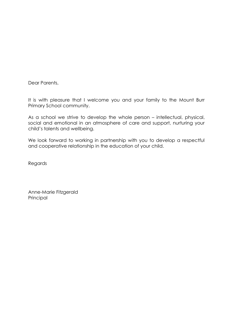Dear Parents,

It is with pleasure that I welcome you and your family to the Mount Burr Primary School community.

As a school we strive to develop the whole person – intellectual, physical, social and emotional in an atmosphere of care and support, nurturing your child's talents and wellbeing.

We look forward to working in partnership with you to develop a respectful and cooperative relationship in the education of your child.

Regards

Anne-Marie Fitzgerald Principal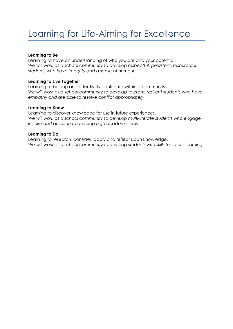#### **Learning to Be**

Learning to have an understanding of who you are and your potential. *We will work as a school community to develop respectful, persistent, resourceful students who have integrity and a sense of humour.*

#### **Learning to Live Together**

Learning to belong and effectively contribute within a community. We will work as a school community to develop tolerant, resilient students who have *empathy and are able to resolve conflict appropriately.*

#### **Learning to Know**

Learning to discover knowledge for use in future experiences. *We will work as a school community to develop multi-literate students who engage, inquire and question to develop high academic skills.*

#### **Learning to Do**

Learning to research, consider, apply and reflect upon knowledge. *We will work as a school community to develop students with skills for future learning.*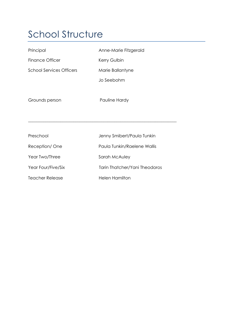### School Structure

| Principal                       | Anne-Marie Fitzgerald         |
|---------------------------------|-------------------------------|
| <b>Finance Officer</b>          | Kerry Gulbin                  |
| <b>School Services Officers</b> | Marie Ballantyne              |
|                                 | Jo Seebohm                    |
|                                 |                               |
| Grounds person                  | Pauline Hardy                 |
|                                 |                               |
|                                 |                               |
| Preschool                       | Jenny Smibert/Paula Tunkin    |
| Reception/One                   | Paula Tunkin/Raelene Wallis   |
| Year Two/Three                  | Sarah McAuley                 |
| Year Four/Five/Six              | Tarin Thatcher/Yani Theodoros |
| <b>Teacher Release</b>          | <b>Helen Hamilton</b>         |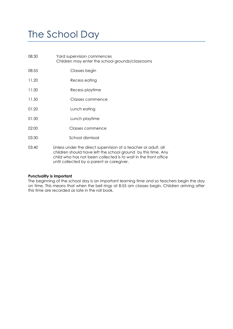### The School Day

| 08:30 | Yard supervision commences<br>Children may enter the school grounds/classrooms |
|-------|--------------------------------------------------------------------------------|
| 08:55 | Classes begin                                                                  |
| 11.20 | Recess eating                                                                  |
| 11:30 | Recess playtime                                                                |
| 11.50 | Classes commence                                                               |
| 01:20 | Lunch eating                                                                   |
| 01:30 | Lunch playtime                                                                 |
| 02:00 | Classes commence                                                               |
| 03:30 | School dismissal                                                               |
| 03:40 | Unless under the direct supervision of a teacher or adu                        |

03:40 Unless under the direct supervision of a teacher or adult, all children should have left the school ground by this time. Any child who has not been collected is to wait in the front office until collected by a parent or caregiver.

#### **Punctuality is important**

The beginning of the school day is an important learning time and so teachers begin the day on time. This means that when the bell rings at 8:55 am classes begin. Children arriving after this time are recorded as late in the roll book.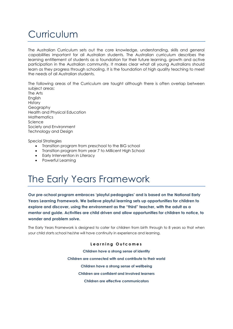### Curriculum

The Australian Curriculum sets out the core knowledge, understanding, skills and general capabilities important for all Australian students. The Australian curriculum describes the learning entitlement of students as a foundation for their future learning, growth and active participation in the Australian community. It makes clear what all young Australians should learn as they progress through schooling. It is the foundation of high quality teaching to meet the needs of all Australian students.

The following areas of the Curriculum are taught although there is often overlap between subject areas:

The Arts English **History** Geography Health and Physical Education **Mathematics** Science Society and Environment Technology and Design

Special Strategies

- Transition program from preschool to the BIG school
- Transition program from year 7 to Millicent High School
- Early Intervention in Literacy
- Powerful Learning

### The Early Years Framework

**Our pre-school program embraces 'playful pedagogies' and is based on the National Early Years Learning Framework. We believe playful learning sets up opportunities for children to explore and discover, using the environment as the "third" teacher, with the adult as a mentor and guide. Activities are child driven and allow opportunities for children to notice, to wonder and problem solve.**

The Early Years Framework is designed to cater for children from birth through to 8 years so that when your child starts school he/she will have continuity in experience and learning.

> **L e a r n i n g O u t c o m e s Children have a strong sense of identity Children are connected with and contribute to their world Children have a strong sense of wellbeing Children are confident and involved learners Children are effective communicators**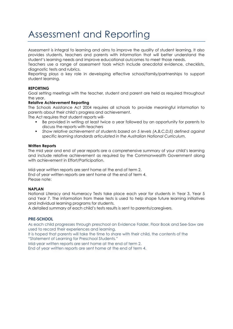### Assessment and Reporting

Assessment is integral to learning and aims to improve the quality of student learning. It also provides students, teachers and parents with information that will better understand the student's learning needs and improve educational outcomes to meet those needs.

Teachers use a range of assessment tools which include anecdotal evidence, checklists, diagnostic tests and rubrics.

Reporting plays a key role in developing effective school/family/partnerships to support student learning.

#### **REPORTING**

Goal setting meetings with the teacher, student and parent are held as required throughout the year.

#### **Relative Achievement Reporting**

The Schools Assistance Act 2004 requires all schools to provide meaningful information to parents about their child's progress and achievement.

The Act requires that student reports will-

- Be provided in writing at least twice a year followed by an opportunity for parents to discuss the reports with teachers
- *Show relative achievement of students based on 5 levels (A,B,C,D,E) defined against specific learning standards articulated in the Australian National Curriculum.*

#### **Written Reports**

The mid year and end of year reports are a comprehensive summary of your child's learning and include relative achievement as required by the Commonwealth Government along with achievement in Effort/Participation.

Mid-year written reports are sent home at the end of term 2. End of year written reports are sent home at the end of term 4. Please note:

#### **NAPLAN**

National Literacy and Numeracy Tests take place each year for students in Year 3, Year 5 and Year 7. The information from these tests is used to help shape future learning initiatives and individual learning programs for students.

A detailed summary of each child's tests results is sent to parents/caregivers.

#### **PRE-SCHOOL**

As each child progresses through preschool an Evidence Folder, Floor Book and See-Saw are used to record their experiences and learning.

It is hoped that parents will take the time to share with their child, the contents of the "Statement of Learning for Preschool Students."

Mid-year written reports are sent home at the end of term 2.

End of year written reports are sent home at the end of term 4.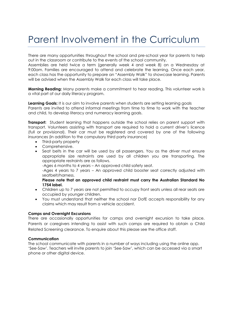### Parent Involvement in the Curriculum

There are many opportunities throughout the school and pre-school year for parents to help out in the classroom or contribute to the events of the school community.

Assemblies are held twice a term (generally week 4 and week 8) on a Wednesday at 9:00am. Families are encouraged to attend and celebrate the learning. Once each year, each class has the opportunity to prepare an "Assembly Walk" to showcase learning. Parents will be advised when the Assembly Walk for each class will take place.

**Morning Reading:** Many parents make a commitment to hear reading. This volunteer work is a vital part of our daily literacy program.

**Learning Goals:** It is our aim to involve parents when students are setting learning goals Parents are invited to attend informal meetings from time to time to work with the teacher and child, to develop literacy and numeracy learning goals.

**Transport:** Student learning that happens outside the school relies on parent support with transport. Volunteers assisting with transport are required to hold a current driver's licence (full or provisional). Their car must be registered and covered by one of the following insurances (in addition to the compulsory third party insurance)

- Third-party property
- Comprehensive.
- Seat belts in the car will be used by all passengers. You as the driver must ensure appropriate size restraints are used by all children you are transporting. The appropriate restraints are as follows.
	- -Ages 6 months to 4 years An approved child safety seat.

-Ages 4 years to 7 years – An approved child booster seat correctly adjusted with seatbelt/harness.

**Please note that an approved child restraint must carry the Australian Standard No 1754 label.**

- Children up to 7 years are not permitted to occupy front seats unless all rear seats are occupied by younger children.
- You must understand that neither the school nor DofE accepts responsibility for any claims which may result from a vehicle accident.

#### **Camps and Overnight Excursions**

There are occasionally opportunities for camps and overnight excursion to take place. Parents or caregivers intending to assist with such camps are required to obtain a Child Related Screening clearance. To enquire about this please see the office staff.

#### **Communication**

The school communicate with parents in a number of ways including using the online app. 'See-Saw'. Teachers will invite parents to join 'See-Saw', which can be accessed via a smart phone or other digital device.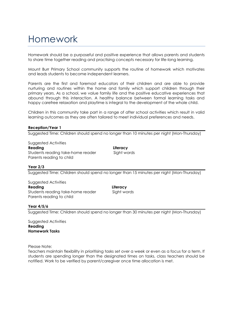### Homework

Homework should be a purposeful and positive experience that allows parents and students to share time together reading and practising concepts necessary for life-long learning.

Mount Burr Primary School community supports the routine of homework which motivates and leads students to become independent learners.

Parents are the first and foremost educators of their children and are able to provide nurturing and routines within the home and family which support children through their primary years. As a school, we value family life and the positive educative experiences that abound through this interaction. A healthy balance between formal learning tasks and happy carefree relaxation and playtime is integral to the development of the whole child.

Children in this community take part in a range of after school activities which result in valid learning outcomes as they are often tailored to meet individual preferences and needs.

#### **Reception/Year 1**

Suggested Time: Children should spend no longer than 10 minutes per night (Mon-Thursday)

Suggested Activities **Reading Literacy** Students reading take-home reader Sight words Parents reading to child

#### **Year 2/3**

Suggested Time: Children should spend no longer than 15 minutes per night (Mon-Thursday)

Suggested Activities **Reading Literacy** Students reading take-home reader Sight words Parents reading to child

#### **Year 4/5/6**

Suggested Time: Children should spend no longer than 30 minutes per night (Mon-Thursday)

Suggested Activities **Reading Homework Tasks**

Please Note:

Teachers maintain flexibility in prioritising tasks set over a week or even as a focus for a term. If students are spending longer than the designated times on tasks, class teachers should be notified. Work to be verified by parent/caregiver once time allocation is met.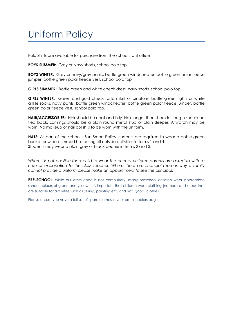### Uniform Policy

Polo Shirts are available for purchase from the school front office

**BOYS SUMMER:** Grey or Navy shorts, school polo top.

**BOYS WINTER:** Grey or navy/grey pants, bottle green windcheater, bottle green polar fleece jumper, bottle green polar fleece vest, school polo top

**GIRLS SUMMER:** Bottle green and white check dress, navy shorts, school polo top.

**GIRLS WINTER:** Green and gold check tartan skirt or pinafore, bottle green tights or white ankle socks, navy pants, bottle green windcheater, bottle green polar fleece jumper, bottle green polar fleece vest, school polo top.

**HAIR/ACCESSORIES:** Hair should be neat and tidy. Hair longer than shoulder length should be tied back. Ear rings should be a plain round metal stud or plain sleeper. A watch may be worn. No makeup or nail polish is to be worn with the uniform.

**HATS:** As part of the school's Sun Smart Policy students are required to wear a bottle green bucket or wide brimmed hat during all outside activities in terms 1 and 4. Students may wear a plain grey or black beanie in terms 2 and 3.

*When it is not possible for a child to wear the correct uniform, parents are asked to write a note of explanation to the class teacher. Where there are financial reasons why a family cannot provide a uniform please make an appointment to see the principal.*

**PRE-SCHOOL:** While our dress code is not compulsory, many preschool children wear appropriate school colours of green and yellow. It is important that children wear clothing (named) and shoes that are suitable for activities such as gluing, painting etc. and not '*good'* clothes.

Please ensure you have a full set of spare clothes in your pre-schoolers bag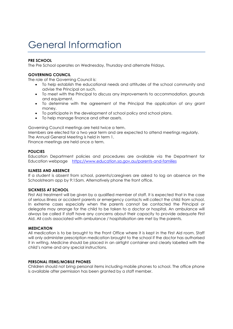### General Information

#### **PRE SCHOOL**

The Pre School operates on Wednesday, Thursday and alternate Fridays.

#### **GOVERNING COUNCIL**

The role of the Governing Council is:

- To help establish the educational needs and attitudes of the school community and advise the Principal on such.
- To meet with the Principal to discuss any improvements to accommodation, grounds and equipment.
- To determine with the agreement of the Principal the application of any grant money.
- To participate in the development of school policy and school plans.
- To help manage finance and other assets.

Governing Council meetings are held twice a term.

Members are elected for a two year term and are expected to attend meetings regularly. The Annual General Meeting is held in term 1.

Finance meetings are held once a term.

#### **POLICIES**

Education Department policies and procedures are available via the Department for Education webpage <https://www.education.sa.gov.au/parents-and-families>

#### **ILLNESS AND ABSENCE**

If a student is absent from school, parents/caregivers are asked to log an absence on the Schoolstream app by 9:15am. Alternatively phone the front office.

#### **SICKNESS AT SCHOOL**

First Aid treatment will be given by a qualified member of staff. It is expected that in the case of serious illness or accident parents or emergency contacts will collect the child from school. In extreme cases especially when the parents cannot be contacted the Principal or delegate may arrange for the child to be taken to a doctor or hospital. An ambulance will always be called if staff have any concerns about their capacity to provide adequate First Aid. All costs associated with ambulance / hospitalisation are met by the parents.

#### **MEDICATION**

All medication is to be brought to the Front Office where it is kept in the First Aid room. Staff will only administer prescription medication brought to the school if the doctor has authorised it in writing. Medicine should be placed in an airtight container and clearly labelled with the child's name and any special instructions.

#### **PERSONAL ITEMS/MOBILE PHONES**

Children should not bring personal items including mobile phones to school. The office phone is available after permission has been granted by a staff member.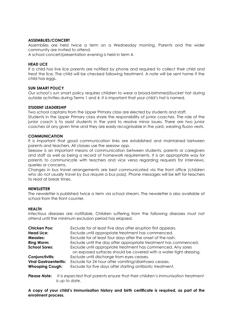#### **ASSEMBLIES/CONCERT**

Assemblies are held twice a term on a Wednesday morning. Parents and the wider community are invited to attend.

A school concert/presentation evening is held in term 4.

#### **HEAD LICE**

If a child has live lice parents are notified by phone and required to collect their child and treat the lice. The child will be checked following treatment. A note will be sent home if the child has eggs.

#### **SUN SMART POLICY**

Our school's sun smart policy requires children to wear a broad-brimmed/bucket hat during outside activities during Terms 1 and 4. It is important that your child's hat is named.

#### **STUDENT LEADERSHIP**

Two school captains from the Upper Primary class are elected by students and staff. Students in the Upper Primary class share the responsibility of junior coaches. The role of the junior coach is to assist students in the yard to resolve minor issues. There are two junior coaches at any given time and they are easily recognisable in the yard, wearing fluoro vests.

#### **COMMUNICATION**

It is important that good communication links are established and maintained between parents and teachers. All classes use the seesaw app.

Seesaw is an important means of communication between students, parents or caregivers and staff as well as being a record of homework requirements. It is an appropriate way for parents to communicate with teachers and vice versa regarding requests for interviews, queries or concerns.

Changes in bus travel arrangements are best communicated via the front office *(children who do not usually travel by bus require a bus pass).* Phone messages will be left for teachers to read at break times.

#### **NEWSLETTER**

The newsletter is published twice a term via school stream. The newsletter is also available at school from the front counter.

#### **HEALTH**

Infectious diseases are notifiable. Children suffering from the following diseases must not attend until the minimum exclusion period has elapsed.

| <b>Chicken Pox:</b>           | Exclude for at least five days after eruption first appears.                                                                       |
|-------------------------------|------------------------------------------------------------------------------------------------------------------------------------|
| <b>Head Lice:</b>             | Exclude until appropriate treatment has commenced.                                                                                 |
| <b>Measles:</b>               | Exclude for at least four days after the onset of the rash.                                                                        |
| <b>Ring Worm:</b>             | Exclude until the day after appropriate treatment has commenced.                                                                   |
| <b>School Sores:</b>          | Exclude until appropriate treatment has commenced. Any sores<br>on exposed surfaces should be covered with a water-tight dressing. |
| Conjunctivitis:               | Exclude until discharge from eyes ceases.                                                                                          |
| <b>Viral Gastroenteritis:</b> | Exclude for 24 hour after vomiting/diarrhoea ceases.                                                                               |
| <b>Whooping Cough:</b>        | Exclude for five days after starting antibiotic treatment.                                                                         |

*Please Note: It is expected that parents ensure that their children's immunisation treatment is up to date.*

**A copy of your child's immunisation history and birth certificate is required, as part of the enrolment process.**